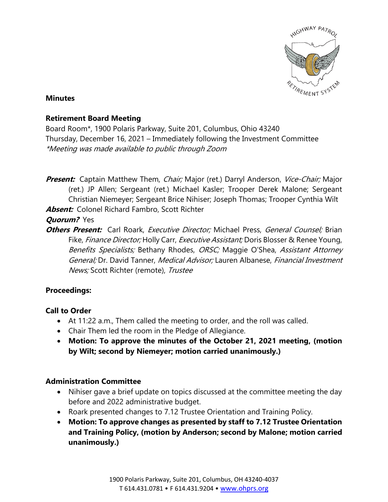

#### **Minutes**

#### **Retirement Board Meeting**

Board Room\*, 1900 Polaris Parkway, Suite 201, Columbus, Ohio 43240 Thursday, December 16, 2021 – Immediately following the Investment Committee \*Meeting was made available to public through Zoom

**Present:** Captain Matthew Them, *Chair;* Major (ret.) Darryl Anderson, *Vice-Chair;* Major (ret.) JP Allen; Sergeant (ret.) Michael Kasler; Trooper Derek Malone; Sergeant Christian Niemeyer; Sergeant Brice Nihiser; Joseph Thomas; Trooper Cynthia Wilt **Absent:** Colonel Richard Fambro, Scott Richter

**Quorum?** Yes

**Others Present:** Carl Roark, Executive Director; Michael Press, General Counsel; Brian Fike, *Finance Director;* Holly Carr, *Executive Assistant;* Doris Blosser & Renee Young, Benefits Specialists; Bethany Rhodes, ORSC; Maggie O'Shea, Assistant Attorney General; Dr. David Tanner, Medical Advisor; Lauren Albanese, Financial Investment News; Scott Richter (remote), Trustee

## **Proceedings:**

## **Call to Order**

- At 11:22 a.m., Them called the meeting to order, and the roll was called.
- Chair Them led the room in the Pledge of Allegiance.
- **Motion: To approve the minutes of the October 21, 2021 meeting, (motion by Wilt; second by Niemeyer; motion carried unanimously.)**

## **Administration Committee**

- Nihiser gave a brief update on topics discussed at the committee meeting the day before and 2022 administrative budget.
- Roark presented changes to 7.12 Trustee Orientation and Training Policy.
- **Motion: To approve changes as presented by staff to 7.12 Trustee Orientation and Training Policy, (motion by Anderson; second by Malone; motion carried unanimously.)**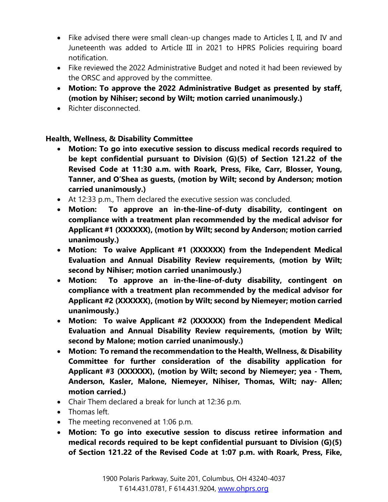- Fike advised there were small clean-up changes made to Articles I, II, and IV and Juneteenth was added to Article III in 2021 to HPRS Policies requiring board notification.
- Fike reviewed the 2022 Administrative Budget and noted it had been reviewed by the ORSC and approved by the committee.
- **Motion: To approve the 2022 Administrative Budget as presented by staff, (motion by Nihiser; second by Wilt; motion carried unanimously.)**
- Richter disconnected.

#### **Health, Wellness, & Disability Committee**

- **Motion: To go into executive session to discuss medical records required to be kept confidential pursuant to Division (G)(5) of Section 121.22 of the Revised Code at 11:30 a.m. with Roark, Press, Fike, Carr, Blosser, Young, Tanner, and O'Shea as guests, (motion by Wilt; second by Anderson; motion carried unanimously.)**
- At 12:33 p.m., Them declared the executive session was concluded.
- **Motion: To approve an in-the-line-of-duty disability, contingent on compliance with a treatment plan recommended by the medical advisor for Applicant #1 (XXXXXX), (motion by Wilt; second by Anderson; motion carried unanimously.)**
- **Motion: To waive Applicant #1 (XXXXXX) from the Independent Medical Evaluation and Annual Disability Review requirements, (motion by Wilt; second by Nihiser; motion carried unanimously.)**
- **Motion: To approve an in-the-line-of-duty disability, contingent on compliance with a treatment plan recommended by the medical advisor for Applicant #2 (XXXXXX), (motion by Wilt; second by Niemeyer; motion carried unanimously.)**
- **Motion: To waive Applicant #2 (XXXXXX) from the Independent Medical Evaluation and Annual Disability Review requirements, (motion by Wilt; second by Malone; motion carried unanimously.)**
- **Motion: To remand the recommendation to the Health, Wellness, & Disability Committee for further consideration of the disability application for Applicant #3 (XXXXXX), (motion by Wilt; second by Niemeyer; yea - Them, Anderson, Kasler, Malone, Niemeyer, Nihiser, Thomas, Wilt; nay- Allen; motion carried.)**
- Chair Them declared a break for lunch at 12:36 p.m.
- Thomas left.
- The meeting reconvened at 1:06 p.m.
- **Motion: To go into executive session to discuss retiree information and medical records required to be kept confidential pursuant to Division (G)(5) of Section 121.22 of the Revised Code at 1:07 p.m. with Roark, Press, Fike,**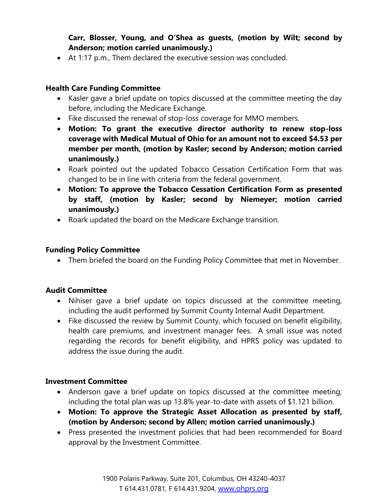**Carr, Blosser, Young, and O'Shea as guests, (motion by Wilt; second by Anderson; motion carried unanimously.)**

• At 1:17 p.m., Them declared the executive session was concluded.

#### **Health Care Funding Committee**

- Kasler gave a brief update on topics discussed at the committee meeting the day before, including the Medicare Exchange.
- Fike discussed the renewal of stop-loss coverage for MMO members.
- **Motion: To grant the executive director authority to renew stop-loss coverage with Medical Mutual of Ohio for an amount not to exceed \$4.53 per member per month, (motion by Kasler; second by Anderson; motion carried unanimously.)**
- Roark pointed out the updated Tobacco Cessation Certification Form that was changed to be in line with criteria from the federal government.
- **Motion: To approve the Tobacco Cessation Certification Form as presented by staff, (motion by Kasler; second by Niemeyer; motion carried unanimously.)**
- Roark updated the board on the Medicare Exchange transition.

#### **Funding Policy Committee**

• Them briefed the board on the Funding Policy Committee that met in November.

## **Audit Committee**

- Nihiser gave a brief update on topics discussed at the committee meeting, including the audit performed by Summit County Internal Audit Department.
- Fike discussed the review by Summit County, which focused on benefit eligibility, health care premiums, and investment manager fees. A small issue was noted regarding the records for benefit eligibility, and HPRS policy was updated to address the issue during the audit.

## **Investment Committee**

- Anderson gave a brief update on topics discussed at the committee meeting; including the total plan was up 13.8% year-to-date with assets of \$1.121 billion.
- **Motion: To approve the Strategic Asset Allocation as presented by staff, (motion by Anderson; second by Allen; motion carried unanimously.)**
- Press presented the investment policies that had been recommended for Board approval by the Investment Committee.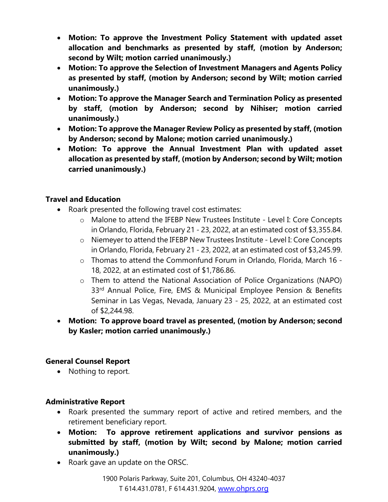- **Motion: To approve the Investment Policy Statement with updated asset allocation and benchmarks as presented by staff, (motion by Anderson; second by Wilt; motion carried unanimously.)**
- **Motion: To approve the Selection of Investment Managers and Agents Policy as presented by staff, (motion by Anderson; second by Wilt; motion carried unanimously.)**
- **Motion: To approve the Manager Search and Termination Policy as presented by staff, (motion by Anderson; second by Nihiser; motion carried unanimously.)**
- **Motion: To approve the Manager Review Policy as presented by staff, (motion by Anderson; second by Malone; motion carried unanimously.)**
- **Motion: To approve the Annual Investment Plan with updated asset allocation as presented by staff, (motion by Anderson; second by Wilt; motion carried unanimously.)**

#### **Travel and Education**

- Roark presented the following travel cost estimates:
	- o Malone to attend the IFEBP New Trustees Institute Level I: Core Concepts in Orlando, Florida, February 21 - 23, 2022, at an estimated cost of \$3,355.84.
	- o Niemeyer to attend the IFEBP New Trustees Institute Level I: Core Concepts in Orlando, Florida, February 21 - 23, 2022, at an estimated cost of \$3,245.99.
	- o Thomas to attend the Commonfund Forum in Orlando, Florida, March 16 18, 2022, at an estimated cost of \$1,786.86.
	- o Them to attend the National Association of Police Organizations (NAPO) 33rd Annual Police, Fire, EMS & Municipal Employee Pension & Benefits Seminar in Las Vegas, Nevada, January 23 - 25, 2022, at an estimated cost of \$2,244.98.
- **Motion: To approve board travel as presented, (motion by Anderson; second by Kasler; motion carried unanimously.)**

## **General Counsel Report**

• Nothing to report.

#### **Administrative Report**

- Roark presented the summary report of active and retired members, and the retirement beneficiary report.
- **Motion: To approve retirement applications and survivor pensions as submitted by staff, (motion by Wilt; second by Malone; motion carried unanimously.)**
- Roark gave an update on the ORSC.